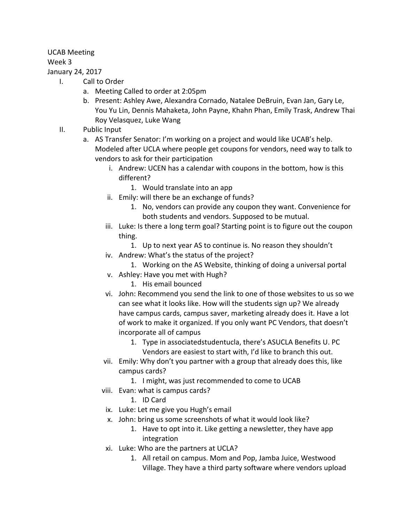## UCAB Meeting

## Week 3

## January 24, 2017

- I. Call to Order
	- a. Meeting Called to order at 2:05pm
	- b. Present: Ashley Awe, Alexandra Cornado, Natalee DeBruin, Evan Jan, Gary Le, You Yu Lin, Dennis Mahaketa, John Payne, Khahn Phan, Emily Trask, Andrew Thai Roy Velasquez, Luke Wang
- II. Public Input
	- a. AS Transfer Senator: I'm working on a project and would like UCAB's help. Modeled after UCLA where people get coupons for vendors, need way to talk to vendors to ask for their participation
		- i. Andrew: UCEN has a calendar with coupons in the bottom, how is this different?
			- 1. Would translate into an app
		- ii. Emily: will there be an exchange of funds?
			- 1. No, vendors can provide any coupon they want. Convenience for both students and vendors. Supposed to be mutual.
		- iii. Luke: Is there a long term goal? Starting point is to figure out the coupon thing.
			- 1. Up to next year AS to continue is. No reason they shouldn't
		- iv. Andrew: What's the status of the project?
			- 1. Working on the AS Website, thinking of doing a universal portal
		- v. Ashley: Have you met with Hugh?
			- 1. His email bounced
		- vi. John: Recommend you send the link to one of those websites to us so we can see what it looks like. How will the students sign up? We already have campus cards, campus saver, marketing already does it. Have a lot of work to make it organized. If you only want PC Vendors, that doesn't incorporate all of campus
			- 1. Type in associatedstudentucla, there's ASUCLA Benefits U. PC Vendors are easiest to start with, I'd like to branch this out.
		- vii. Emily: Why don't you partner with a group that already does this, like campus cards?
			- 1. I might, was just recommended to come to UCAB
		- viii. Evan: what is campus cards?
			- 1. ID Card
		- ix. Luke: Let me give you Hugh's email
		- x. John: bring us some screenshots of what it would look like?
			- 1. Have to opt into it. Like getting a newsletter, they have app integration
		- xi. Luke: Who are the partners at UCLA?
			- 1. All retail on campus. Mom and Pop, Jamba Juice, Westwood Village. They have a third party software where vendors upload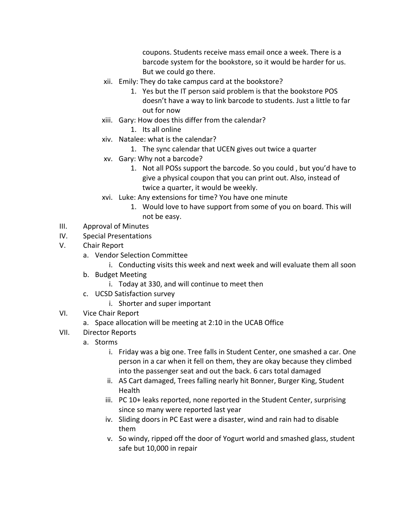coupons. Students receive mass email once a week. There is a barcode system for the bookstore, so it would be harder for us. But we could go there.

- xii. Emily: They do take campus card at the bookstore?
	- 1. Yes but the IT person said problem is that the bookstore POS doesn't have a way to link barcode to students. Just a little to far out for now
- xiii. Gary: How does this differ from the calendar?
	- 1. Its all online
- xiv. Natalee: what is the calendar?
	- 1. The sync calendar that UCEN gives out twice a quarter
- xv. Gary: Why not a barcode?
	- 1. Not all POSs support the barcode. So you could , but you'd have to give a physical coupon that you can print out. Also, instead of twice a quarter, it would be weekly.
- xvi. Luke: Any extensions for time? You have one minute
	- 1. Would love to have support from some of you on board. This will not be easy.
- III. Approval of Minutes
- IV. Special Presentations
- V. Chair Report
	- a. Vendor Selection Committee
		- i. Conducting visits this week and next week and will evaluate them all soon
	- b. Budget Meeting
		- i. Today at 330, and will continue to meet then
	- c. UCSD Satisfaction survey
		- i. Shorter and super important
- VI. Vice Chair Report
	- a. Space allocation will be meeting at 2:10 in the UCAB Office
- VII. Director Reports
	- a. Storms
		- i. Friday was a big one. Tree falls in Student Center, one smashed a car. One person in a car when it fell on them, they are okay because they climbed into the passenger seat and out the back. 6 cars total damaged
		- ii. AS Cart damaged, Trees falling nearly hit Bonner, Burger King, Student Health
		- iii. PC 10+ leaks reported, none reported in the Student Center, surprising since so many were reported last year
		- iv. Sliding doors in PC East were a disaster, wind and rain had to disable them
		- v. So windy, ripped off the door of Yogurt world and smashed glass, student safe but 10,000 in repair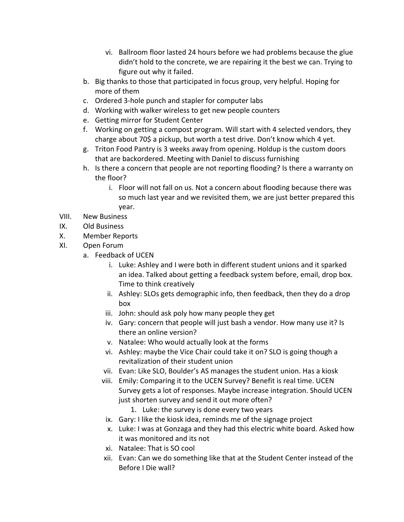- vi. Ballroom floor lasted 24 hours before we had problems because the glue didn't hold to the concrete, we are repairing it the best we can. Trying to figure out why it failed.
- b. Big thanks to those that participated in focus group, very helpful. Hoping for more of them
- c. Ordered 3-hole punch and stapler for computer labs
- d. Working with walker wireless to get new people counters
- e. Getting mirror for Student Center
- f. Working on getting a compost program. Will start with 4 selected vendors, they charge about 70\$ a pickup, but worth a test drive. Don't know which 4 yet.
- g. Triton Food Pantry is 3 weeks away from opening. Holdup is the custom doors that are backordered. Meeting with Daniel to discuss furnishing
- h. Is there a concern that people are not reporting flooding? Is there a warranty on the floor?
	- i. Floor will not fall on us. Not a concern about flooding because there was so much last year and we revisited them, we are just better prepared this year.
- VIII. New Business
- IX. Old Business
- X. Member Reports
- XI. Open Forum
	- a. Feedback of UCEN
		- i. Luke: Ashley and I were both in different student unions and it sparked an idea. Talked about getting a feedback system before, email, drop box. Time to think creatively
		- ii. Ashley: SLOs gets demographic info, then feedback, then they do a drop box
		- iii. John: should ask poly how many people they get
		- iv. Gary: concern that people will just bash a vendor. How many use it? Is there an online version?
		- v. Natalee: Who would actually look at the forms
		- vi. Ashley: maybe the Vice Chair could take it on? SLO is going though a revitalization of their student union
		- vii. Evan: Like SLO, Boulder's AS manages the student union. Has a kiosk
		- viii. Emily: Comparing it to the UCEN Survey? Benefit is real time. UCEN Survey gets a lot of responses. Maybe increase integration. Should UCEN just shorten survey and send it out more often?
			- 1. Luke: the survey is done every two years
		- ix. Gary: I like the kiosk idea, reminds me of the signage project
		- x. Luke: I was at Gonzaga and they had this electric white board. Asked how it was monitored and its not
		- xi. Natalee: That is SO cool
		- xii. Evan: Can we do something like that at the Student Center instead of the Before I Die wall?